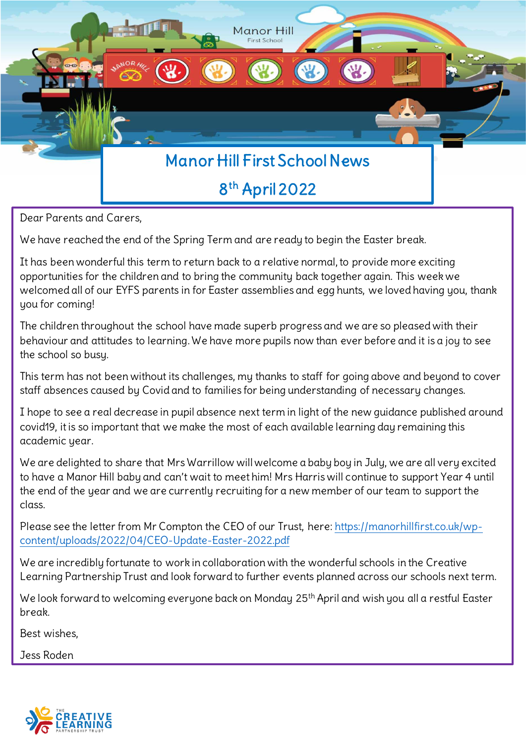

Dear Parents and Carers,

We have reached the end of the Spring Term and are ready to begin the Easter break.

It has been wonderful this term to return back to a relative normal, to provide more exciting opportunities for the children and to bring the community back together again. This week we welcomed all of our EYFS parents in for Easter assemblies and egg hunts, we loved having you, thank you for coming!

The children throughout the school have made superb progress and we are so pleased with their behaviour and attitudes to learning. We have more pupils now than ever before and it is a joy to see the school so busy.

This term has not been without its challenges, my thanks to staff for going above and beyond to cover staff absences caused by Covid and to families for being understanding of necessary changes.

I hope to see a real decrease in pupil absence next term in light of the new guidance published around covid19, it is so important that we make the most of each available learning day remaining this academic year.

We are delighted to share that Mrs Warrillow will welcome a baby boy in July, we are all very excited to have a Manor Hill baby and can't wait to meet him! Mrs Harris will continue to support Year 4 until the end of the year and we are currently recruiting for a new member of our team to support the class.

Please see the letter from Mr Compton the CEO of our Trust, here: [https://manorhillfirst.co.uk/wp](https://manorhillfirst.co.uk/wp-content/uploads/2022/04/CEO-Update-Easter-2022.pdf)[content/uploads/2022/04/CEO-Update-Easter-2022.pdf](https://manorhillfirst.co.uk/wp-content/uploads/2022/04/CEO-Update-Easter-2022.pdf)

We are incredibly fortunate to work in collaboration with the wonderful schools in the Creative Learning Partnership Trust and look forward to further events planned across our schools next term.

We look forward to welcoming everyone back on Monday 25<sup>th</sup> April and wish you all a restful Easter break.

Best wishes,

Jess Roden